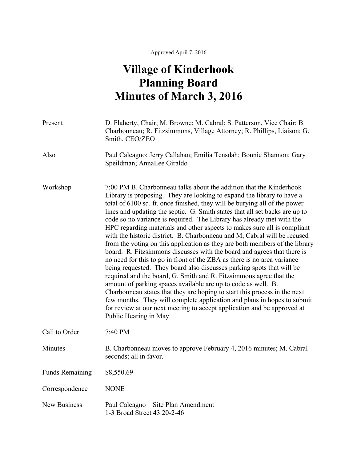## **Village of Kinderhook Planning Board Minutes of March 3, 2016**

| Present                | D. Flaherty, Chair; M. Browne; M. Cabral; S. Patterson, Vice Chair; B.<br>Charbonneau; R. Fitzsimmons, Village Attorney; R. Phillips, Liaison; G.<br>Smith, CEO/ZEO                                                                                                                                                                                                                                                                                                                                                                                                                                                                                                                                                                                                                                                                                                                                                                                                                                                                                                                                                                                                                                                                                           |
|------------------------|---------------------------------------------------------------------------------------------------------------------------------------------------------------------------------------------------------------------------------------------------------------------------------------------------------------------------------------------------------------------------------------------------------------------------------------------------------------------------------------------------------------------------------------------------------------------------------------------------------------------------------------------------------------------------------------------------------------------------------------------------------------------------------------------------------------------------------------------------------------------------------------------------------------------------------------------------------------------------------------------------------------------------------------------------------------------------------------------------------------------------------------------------------------------------------------------------------------------------------------------------------------|
| Also                   | Paul Calcagno; Jerry Callahan; Emilia Tensdah; Bonnie Shannon; Gary<br>Speildman; AnnaLee Giraldo                                                                                                                                                                                                                                                                                                                                                                                                                                                                                                                                                                                                                                                                                                                                                                                                                                                                                                                                                                                                                                                                                                                                                             |
| Workshop               | 7:00 PM B. Charbonneau talks about the addition that the Kinderhook<br>Library is proposing. They are looking to expand the library to have a<br>total of 6100 sq. ft. once finished, they will be burying all of the power<br>lines and updating the septic. G. Smith states that all set backs are up to<br>code so no variance is required. The Library has already met with the<br>HPC regarding materials and other aspects to makes sure all is compliant<br>with the historic district. B. Charbonneau and M, Cabral will be recused<br>from the voting on this application as they are both members of the library<br>board. R. Fitzsimmons discusses with the board and agrees that there is<br>no need for this to go in front of the ZBA as there is no area variance<br>being requested. They board also discusses parking spots that will be<br>required and the board, G. Smith and R. Fitzsimmons agree that the<br>amount of parking spaces available are up to code as well. B.<br>Charbonneau states that they are hoping to start this process in the next<br>few months. They will complete application and plans in hopes to submit<br>for review at our next meeting to accept application and be approved at<br>Public Hearing in May. |
| Call to Order          | 7:40 PM                                                                                                                                                                                                                                                                                                                                                                                                                                                                                                                                                                                                                                                                                                                                                                                                                                                                                                                                                                                                                                                                                                                                                                                                                                                       |
| Minutes                | B. Charbonneau moves to approve February 4, 2016 minutes; M. Cabral<br>seconds; all in favor.                                                                                                                                                                                                                                                                                                                                                                                                                                                                                                                                                                                                                                                                                                                                                                                                                                                                                                                                                                                                                                                                                                                                                                 |
| <b>Funds Remaining</b> | \$8,550.69                                                                                                                                                                                                                                                                                                                                                                                                                                                                                                                                                                                                                                                                                                                                                                                                                                                                                                                                                                                                                                                                                                                                                                                                                                                    |
| Correspondence         | <b>NONE</b>                                                                                                                                                                                                                                                                                                                                                                                                                                                                                                                                                                                                                                                                                                                                                                                                                                                                                                                                                                                                                                                                                                                                                                                                                                                   |
| <b>New Business</b>    | Paul Calcagno – Site Plan Amendment<br>1-3 Broad Street 43.20-2-46                                                                                                                                                                                                                                                                                                                                                                                                                                                                                                                                                                                                                                                                                                                                                                                                                                                                                                                                                                                                                                                                                                                                                                                            |